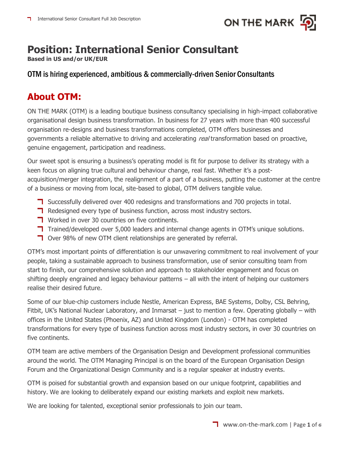

# **Position: International Senior Consultant**

**Based in US and/or UK/EUR**

### OTM is hiring experienced, ambitious & commercially-driven Senior Consultants

### **About OTM:**

ON THE MARK (OTM) is a leading boutique business consultancy specialising in high-impact collaborative organisational design business transformation. In business for 27 years with more than 400 successful organisation re-designs and business transformations completed, OTM offers businesses and governments a reliable alternative to driving and accelerating real transformation based on proactive, genuine engagement, participation and readiness.

Our sweet spot is ensuring a business's operating model is fit for purpose to deliver its strategy with a keen focus on aligning true cultural and behaviour change, real fast. Whether it's a postacquisition/merger integration, the realignment of a part of a business, putting the customer at the centre of a business or moving from local, site-based to global, OTM delivers tangible value.

- **T** Successfully delivered over 400 redesigns and transformations and 700 projects in total.
- **T** Redesigned every type of business function, across most industry sectors.
- **T** Worked in over 30 countries on five continents.
- T Trained/developed over 5,000 leaders and internal change agents in OTM's unique solutions.
- **T** Over 98% of new OTM client relationships are generated by referral.

OTM's most important points of differentiation is our unwavering commitment to real involvement of your people, taking a sustainable approach to business transformation, use of senior consulting team from start to finish, our comprehensive solution and approach to stakeholder engagement and focus on shifting deeply engrained and legacy behaviour patterns – all with the intent of helping our customers realise their desired future.

Some of our blue-chip customers include Nestle, American Express, BAE Systems, Dolby, CSL Behring, Fitbit, UK's National Nuclear Laboratory, and Inmarsat – just to mention a few. Operating globally – with offices in the United States (Phoenix, AZ) and United Kingdom (London) - OTM has completed transformations for every type of business function across most industry sectors, in over 30 countries on five continents.

OTM team are active members of the Organisation Design and Development professional communities around the world. The OTM Managing Principal is on the board of the European Organisation Design Forum and the Organizational Design Community and is a regular speaker at industry events.

OTM is poised for substantial growth and expansion based on our unique footprint, capabilities and history. We are looking to deliberately expand our existing markets and exploit new markets.

We are looking for talented, exceptional senior professionals to join our team.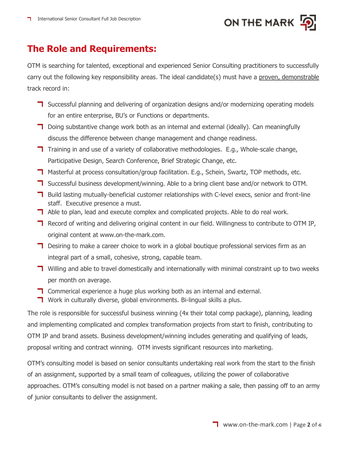

## **The Role and Requirements:**

OTM is searching for talented, exceptional and experienced Senior Consulting practitioners to successfully carry out the following key responsibility areas. The ideal candidate(s) must have a proven, demonstrable track record in:

- **T** Successful planning and delivering of organization designs and/or modernizing operating models for an entire enterprise, BU's or Functions or departments.
- $\Box$  Doing substantive change work both as an internal and external (ideally). Can meaningfully discuss the difference between change management and change readiness.
- T Training in and use of a variety of collaborative methodologies. E.g., Whole-scale change, Participative Design, Search Conference, Brief Strategic Change, etc.
- **T** Masterful at process consultation/group facilitation. E.g., Schein, Swartz, TOP methods, etc.
- T Successful business development/winning. Able to a bring client base and/or network to OTM.
- **T** Build lasting mutually-beneficial customer relationships with C-level execs, senior and front-line staff. Executive presence a must.
- $\blacksquare$  Able to plan, lead and execute complex and complicated projects. Able to do real work.
- **T** Record of writing and delivering original content in our field. Willingness to contribute to OTM IP, original content at www.on-the-mark.com.
- $\blacksquare$  Desiring to make a career choice to work in a global boutique professional services firm as an integral part of a small, cohesive, strong, capable team.
- **T** Willing and able to travel domestically and internationally with minimal constraint up to two weeks per month on average.
- **T** Commerical experience a huge plus working both as an internal and external.
- **T** Work in culturally diverse, global environments. Bi-lingual skills a plus.

The role is responsible for successful business winning (4x their total comp package), planning, leading and implementing complicated and complex transformation projects from start to finish, contributing to OTM IP and brand assets. Business development/winning includes generating and qualifying of leads, proposal writing and contract winning. OTM invests significant resources into marketing.

OTM's consulting model is based on senior consultants undertaking real work from the start to the finish of an assignment, supported by a small team of colleagues, utilizing the power of collaborative approaches. OTM's consulting model is not based on a partner making a sale, then passing off to an army of junior consultants to deliver the assignment.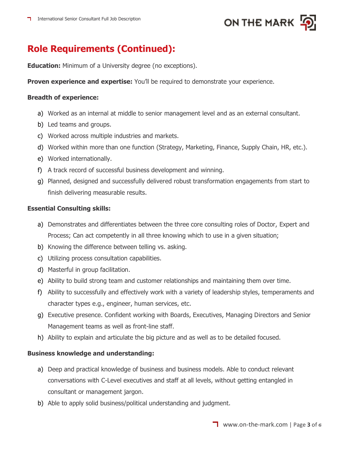

## **Role Requirements (Continued):**

**Education:** Minimum of a University degree (no exceptions).

**Proven experience and expertise:** You'll be required to demonstrate your experience.

#### **Breadth of experience:**

- a) Worked as an internal at middle to senior management level and as an external consultant.
- b) Led teams and groups.
- c) Worked across multiple industries and markets.
- d) Worked within more than one function (Strategy, Marketing, Finance, Supply Chain, HR, etc.).
- e) Worked internationally.
- f) A track record of successful business development and winning.
- g) Planned, designed and successfully delivered robust transformation engagements from start to finish delivering measurable results.

#### **Essential Consulting skills:**

- a) Demonstrates and differentiates between the three core consulting roles of Doctor, Expert and Process; Can act competently in all three knowing which to use in a given situation;
- b) Knowing the difference between telling vs. asking.
- c) Utilizing process consultation capabilities.
- d) Masterful in group facilitation.
- e) Ability to build strong team and customer relationships and maintaining them over time.
- f) Ability to successfully and effectively work with a variety of leadership styles, temperaments and character types e.g., engineer, human services, etc.
- g) Executive presence. Confident working with Boards, Executives, Managing Directors and Senior Management teams as well as front-line staff.
- h) Ability to explain and articulate the big picture and as well as to be detailed focused.

#### **Business knowledge and understanding:**

- a) Deep and practical knowledge of business and business models. Able to conduct relevant conversations with C-Level executives and staff at all levels, without getting entangled in consultant or management jargon.
- b) Able to apply solid business/political understanding and judgment.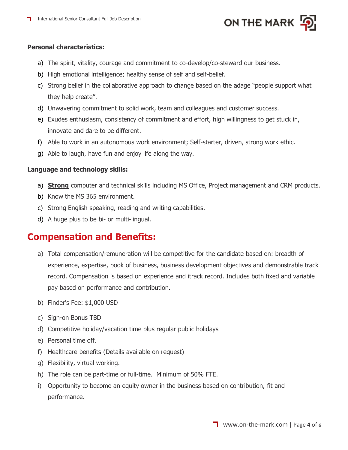

#### **Personal characteristics:**

- a) The spirit, vitality, courage and commitment to co-develop/co-steward our business.
- b) High emotional intelligence; healthy sense of self and self-belief.
- c) Strong belief in the collaborative approach to change based on the adage "people support what they help create".
- d) Unwavering commitment to solid work, team and colleagues and customer success.
- e) Exudes enthusiasm, consistency of commitment and effort, high willingness to get stuck in, innovate and dare to be different.
- f) Able to work in an autonomous work environment; Self-starter, driven, strong work ethic.
- g) Able to laugh, have fun and enjoy life along the way.

#### **Language and technology skills:**

- a) **Strong** computer and technical skills including MS Office, Project management and CRM products.
- b) Know the MS 365 environment.
- c) Strong English speaking, reading and writing capabilities.
- d) A huge plus to be bi- or multi-lingual.

### **Compensation and Benefits:**

- a) Total compensation/remuneration will be competitive for the candidate based on: breadth of experience, expertise, book of business, business development objectives and demonstrable track record. Compensation is based on experience and itrack record. Includes both fixed and variable pay based on performance and contribution.
- b) Finder's Fee: \$1,000 USD
- c) Sign-on Bonus TBD
- d) Competitive holiday/vacation time plus regular public holidays
- e) Personal time off.
- f) Healthcare benefits (Details available on request)
- g) Flexibility, virtual working.
- h) The role can be part-time or full-time. Minimum of 50% FTE.
- i) Opportunity to become an equity owner in the business based on contribution, fit and performance.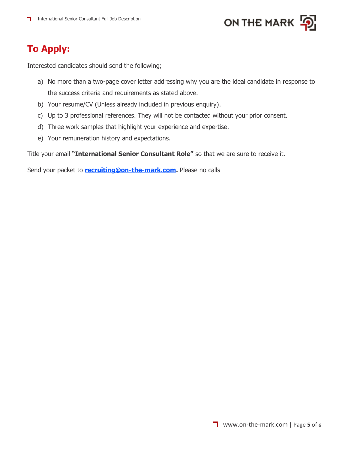

# **To Apply:**

Interested candidates should send the following;

- a) No more than a two-page cover letter addressing why you are the ideal candidate in response to the success criteria and requirements as stated above.
- b) Your resume/CV (Unless already included in previous enquiry).
- c) Up to 3 professional references. They will not be contacted without your prior consent.
- d) Three work samples that highlight your experience and expertise.
- e) Your remuneration history and expectations.

Title your email **"International Senior Consultant Role"** so that we are sure to receive it.

Send your packet to **[recruiting@on-the-mark.com.](mailto:recruiting@on-the-mark.com)** Please no calls